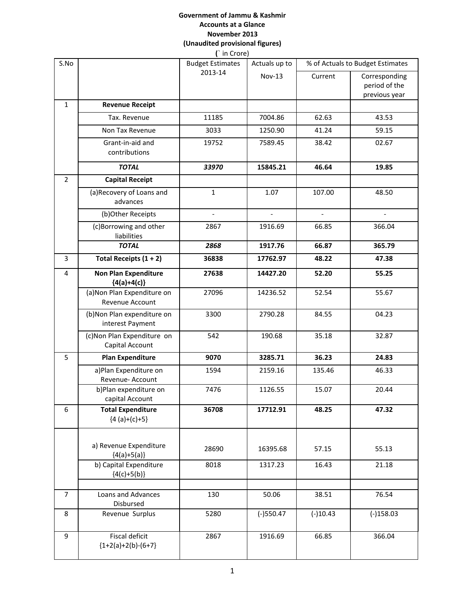#### **Government of Jammu & Kashmir Accounts at a Glance November 2013 (Unaudited provisional figures) (**` in Crore)

| S.No           |                                                | $\left($ $\left  \right $ $\left  \right $ $\left  \right $ $\left  \right $ $\left  \right $<br><b>Budget Estimates</b> | Actuals up to  | % of Actuals to Budget Estimates |                                                 |
|----------------|------------------------------------------------|--------------------------------------------------------------------------------------------------------------------------|----------------|----------------------------------|-------------------------------------------------|
|                |                                                | 2013-14                                                                                                                  | <b>Nov-13</b>  | Current                          | Corresponding<br>period of the<br>previous year |
| $\mathbf{1}$   | <b>Revenue Receipt</b>                         |                                                                                                                          |                |                                  |                                                 |
|                | Tax. Revenue                                   | 11185                                                                                                                    | 7004.86        | 62.63                            | 43.53                                           |
|                | Non Tax Revenue                                | 3033                                                                                                                     | 1250.90        | 41.24                            | 59.15                                           |
|                | Grant-in-aid and<br>contributions              | 19752                                                                                                                    | 7589.45        | 38.42                            | 02.67                                           |
|                | <b>TOTAL</b>                                   | 33970                                                                                                                    | 15845.21       | 46.64                            | 19.85                                           |
| $\overline{2}$ | <b>Capital Receipt</b>                         |                                                                                                                          |                |                                  |                                                 |
|                | (a) Recovery of Loans and<br>advances          | $\mathbf{1}$                                                                                                             | 1.07           | 107.00                           | 48.50                                           |
|                | (b)Other Receipts                              | $\overline{\phantom{a}}$                                                                                                 | $\overline{a}$ | $\overline{\phantom{a}}$         | $\overline{a}$                                  |
|                | (c)Borrowing and other<br>liabilities          | 2867                                                                                                                     | 1916.69        | 66.85                            | 366.04                                          |
|                | <b>TOTAL</b>                                   | 2868                                                                                                                     | 1917.76        | 66.87                            | 365.79                                          |
| 3              | Total Receipts $(1 + 2)$                       | 36838                                                                                                                    | 17762.97       | 48.22                            | 47.38                                           |
| 4              | <b>Non Plan Expenditure</b><br>${4(a)+4(c)}$   | 27638                                                                                                                    | 14427.20       | 52.20                            | 55.25                                           |
|                | (a) Non Plan Expenditure on<br>Revenue Account | 27096                                                                                                                    | 14236.52       | 52.54                            | 55.67                                           |
|                | (b)Non Plan expenditure on<br>interest Payment | 3300                                                                                                                     | 2790.28        | 84.55                            | 04.23                                           |
|                | (c) Non Plan Expenditure on<br>Capital Account | 542                                                                                                                      | 190.68         | 35.18                            | 32.87                                           |
| 5              | <b>Plan Expenditure</b>                        | 9070                                                                                                                     | 3285.71        | 36.23                            | 24.83                                           |
|                | a)Plan Expenditure on<br>Revenue- Account      | 1594                                                                                                                     | 2159.16        | 135.46                           | 46.33                                           |
|                | b)Plan expenditure on<br>capital Account       | 7476                                                                                                                     | 1126.55        | 15.07                            | 20.44                                           |
| 6              | <b>Total Expenditure</b><br>${4 (a)+(c)+5}$    | 36708                                                                                                                    | 17712.91       | 48.25                            | 47.32                                           |
|                | a) Revenue Expenditure<br>${4(a)+5(a)}$        | 28690                                                                                                                    | 16395.68       | 57.15                            | 55.13                                           |
|                | b) Capital Expenditure<br>${4(c)+5(b)}$        | 8018                                                                                                                     | 1317.23        | 16.43                            | 21.18                                           |
| $\overline{7}$ | Loans and Advances<br>Disbursed                | 130                                                                                                                      | 50.06          | 38.51                            | 76.54                                           |
| 8              | Revenue Surplus                                | 5280                                                                                                                     | $(-)550.47$    | $(-)10.43$                       | $(-)158.03$                                     |
| 9              | Fiscal deficit<br>${1+2(a)+2(b)-(6+7)}$        | 2867                                                                                                                     | 1916.69        | 66.85                            | 366.04                                          |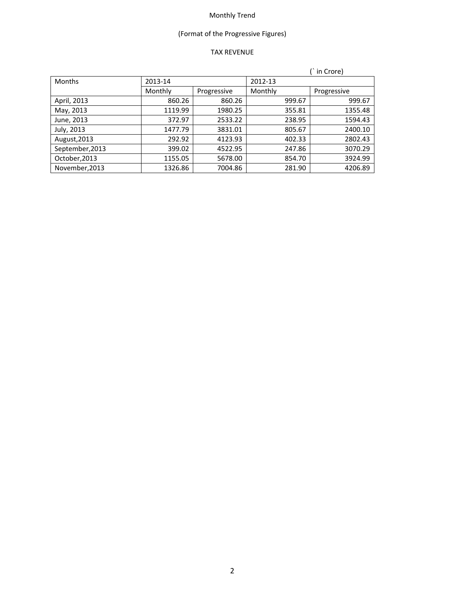# (Format of the Progressive Figures)

## TAX REVENUE

|                 |         |             |         | in Crore)   |
|-----------------|---------|-------------|---------|-------------|
| <b>Months</b>   | 2013-14 |             | 2012-13 |             |
|                 | Monthly | Progressive | Monthly | Progressive |
| April, 2013     | 860.26  | 860.26      | 999.67  | 999.67      |
| May, 2013       | 1119.99 | 1980.25     | 355.81  | 1355.48     |
| June, 2013      | 372.97  | 2533.22     | 238.95  | 1594.43     |
| July, 2013      | 1477.79 | 3831.01     | 805.67  | 2400.10     |
| August, 2013    | 292.92  | 4123.93     | 402.33  | 2802.43     |
| September, 2013 | 399.02  | 4522.95     | 247.86  | 3070.29     |
| October, 2013   | 1155.05 | 5678.00     | 854.70  | 3924.99     |
| November, 2013  | 1326.86 | 7004.86     | 281.90  | 4206.89     |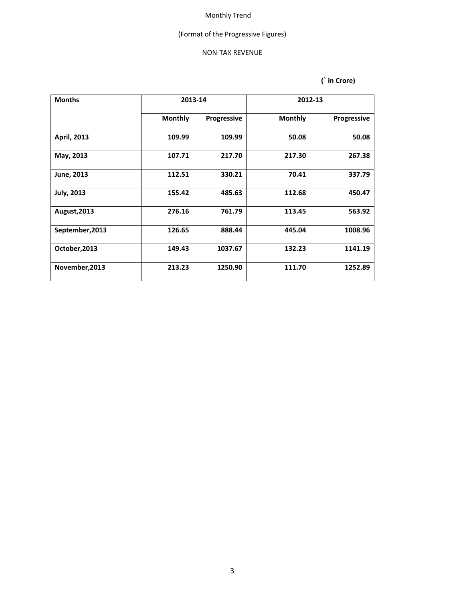# (Format of the Progressive Figures)

#### NON‐TAX REVENUE

| <b>Months</b>      | 2013-14        |             |                | 2012-13     |
|--------------------|----------------|-------------|----------------|-------------|
|                    | <b>Monthly</b> | Progressive | <b>Monthly</b> | Progressive |
| <b>April, 2013</b> | 109.99         | 109.99      | 50.08          | 50.08       |
| May, 2013          | 107.71         | 217.70      | 217.30         | 267.38      |
| June, 2013         | 112.51         | 330.21      | 70.41          | 337.79      |
| <b>July, 2013</b>  | 155.42         | 485.63      | 112.68         | 450.47      |
| August, 2013       | 276.16         | 761.79      | 113.45         | 563.92      |
| September, 2013    | 126.65         | 888.44      | 445.04         | 1008.96     |
| October, 2013      | 149.43         | 1037.67     | 132.23         | 1141.19     |
| November, 2013     | 213.23         | 1250.90     | 111.70         | 1252.89     |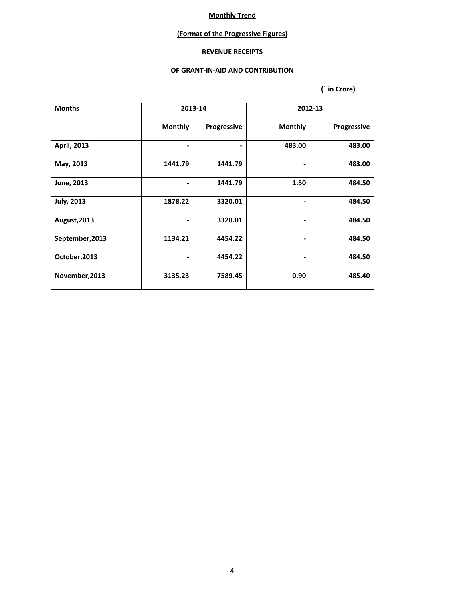### **(Format of the Progressive Figures)**

### **REVENUE RECEIPTS**

#### **OF GRANT‐IN‐AID AND CONTRIBUTION**

| <b>Months</b>      | 2013-14        |             |                | 2012-13            |
|--------------------|----------------|-------------|----------------|--------------------|
|                    | <b>Monthly</b> | Progressive | <b>Monthly</b> | <b>Progressive</b> |
| <b>April, 2013</b> |                | -           | 483.00         | 483.00             |
| May, 2013          | 1441.79        | 1441.79     |                | 483.00             |
| June, 2013         |                | 1441.79     | 1.50           | 484.50             |
| <b>July, 2013</b>  | 1878.22        | 3320.01     |                | 484.50             |
| August, 2013       |                | 3320.01     |                | 484.50             |
| September, 2013    | 1134.21        | 4454.22     |                | 484.50             |
| October, 2013      |                | 4454.22     |                | 484.50             |
| November, 2013     | 3135.23        | 7589.45     | 0.90           | 485.40             |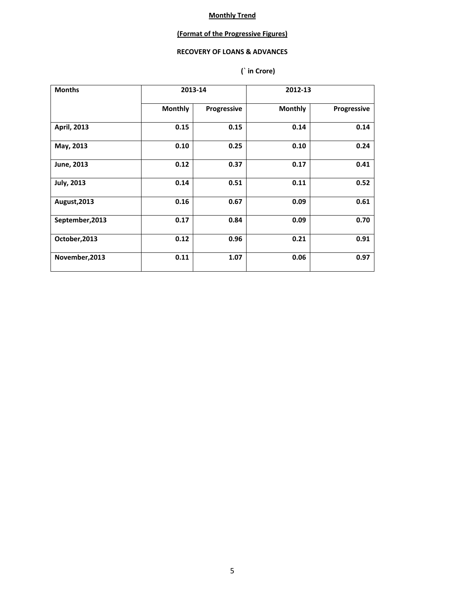## **(Format of the Progressive Figures)**

# **RECOVERY OF LOANS & ADVANCES**

| <b>Months</b>      |                | 2013-14     |                | 2012-13            |
|--------------------|----------------|-------------|----------------|--------------------|
|                    | <b>Monthly</b> | Progressive | <b>Monthly</b> | <b>Progressive</b> |
| <b>April, 2013</b> | 0.15           | 0.15        | 0.14           | 0.14               |
| May, 2013          | 0.10           | 0.25        | 0.10           | 0.24               |
| June, 2013         | 0.12           | 0.37        | 0.17           | 0.41               |
| <b>July, 2013</b>  | 0.14           | 0.51        | 0.11           | 0.52               |
| August, 2013       | 0.16           | 0.67        | 0.09           | 0.61               |
| September, 2013    | 0.17           | 0.84        | 0.09           | 0.70               |
| October, 2013      | 0.12           | 0.96        | 0.21           | 0.91               |
| November, 2013     | 0.11           | 1.07        | 0.06           | 0.97               |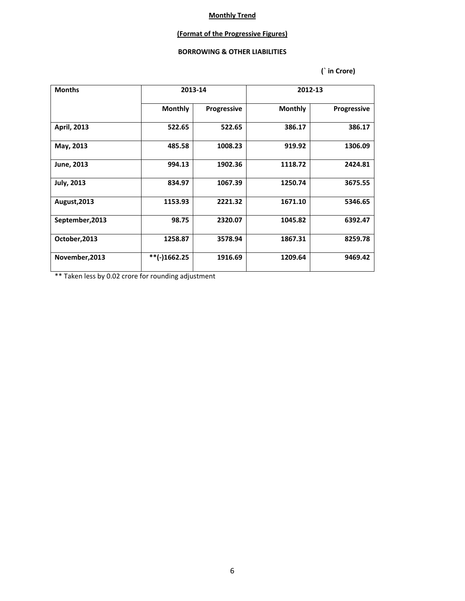### **(Format of the Progressive Figures)**

#### **BORROWING & OTHER LIABILITIES**

 **(` in Crore)**

| <b>Months</b>      |                | 2013-14     |                | 2012-13            |
|--------------------|----------------|-------------|----------------|--------------------|
|                    | <b>Monthly</b> | Progressive | <b>Monthly</b> | <b>Progressive</b> |
| <b>April, 2013</b> | 522.65         | 522.65      | 386.17         | 386.17             |
| May, 2013          | 485.58         | 1008.23     | 919.92         | 1306.09            |
| June, 2013         | 994.13         | 1902.36     | 1118.72        | 2424.81            |
| <b>July, 2013</b>  | 834.97         | 1067.39     | 1250.74        | 3675.55            |
| August, 2013       | 1153.93        | 2221.32     | 1671.10        | 5346.65            |
| September, 2013    | 98.75          | 2320.07     | 1045.82        | 6392.47            |
| October, 2013      | 1258.87        | 3578.94     | 1867.31        | 8259.78            |
| November, 2013     | **(-)1662.25   | 1916.69     | 1209.64        | 9469.42            |

\*\* Taken less by 0.02 crore for rounding adjustment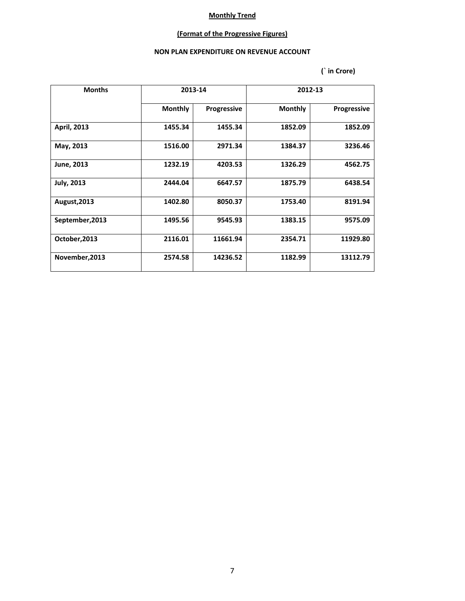# **(Format of the Progressive Figures)**

#### **NON PLAN EXPENDITURE ON REVENUE ACCOUNT**

| <b>Months</b>      | 2013-14        |                    |                | 2012-13            |
|--------------------|----------------|--------------------|----------------|--------------------|
|                    | <b>Monthly</b> | <b>Progressive</b> | <b>Monthly</b> | <b>Progressive</b> |
| <b>April, 2013</b> | 1455.34        | 1455.34            | 1852.09        | 1852.09            |
| May, 2013          | 1516.00        | 2971.34            | 1384.37        | 3236.46            |
| June, 2013         | 1232.19        | 4203.53            | 1326.29        | 4562.75            |
| <b>July, 2013</b>  | 2444.04        | 6647.57            | 1875.79        | 6438.54            |
| August, 2013       | 1402.80        | 8050.37            | 1753.40        | 8191.94            |
| September, 2013    | 1495.56        | 9545.93            | 1383.15        | 9575.09            |
| October, 2013      | 2116.01        | 11661.94           | 2354.71        | 11929.80           |
| November, 2013     | 2574.58        | 14236.52           | 1182.99        | 13112.79           |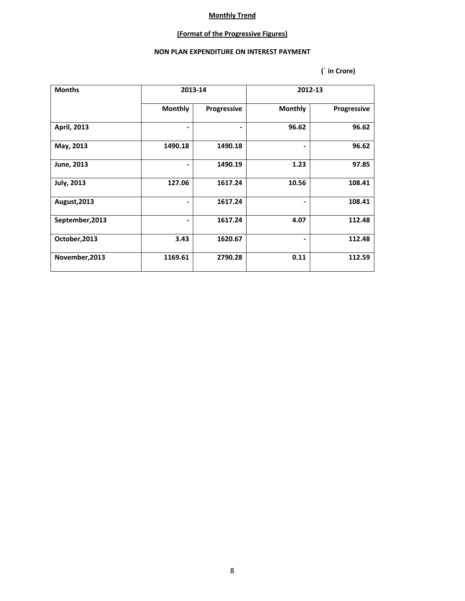# **(Format of the Progressive Figures)**

#### **NON PLAN EXPENDITURE ON INTEREST PAYMENT**

| <b>Months</b>      | 2013-14                  |             |                | 2012-13     |
|--------------------|--------------------------|-------------|----------------|-------------|
|                    | <b>Monthly</b>           | Progressive | <b>Monthly</b> | Progressive |
| <b>April, 2013</b> |                          | ۰           | 96.62          | 96.62       |
| May, 2013          | 1490.18                  | 1490.18     |                | 96.62       |
| June, 2013         | $\overline{\phantom{0}}$ | 1490.19     | 1.23           | 97.85       |
| <b>July, 2013</b>  | 127.06                   | 1617.24     | 10.56          | 108.41      |
| August, 2013       |                          | 1617.24     |                | 108.41      |
| September, 2013    |                          | 1617.24     | 4.07           | 112.48      |
| October, 2013      | 3.43                     | 1620.67     |                | 112.48      |
| November, 2013     | 1169.61                  | 2790.28     | 0.11           | 112.59      |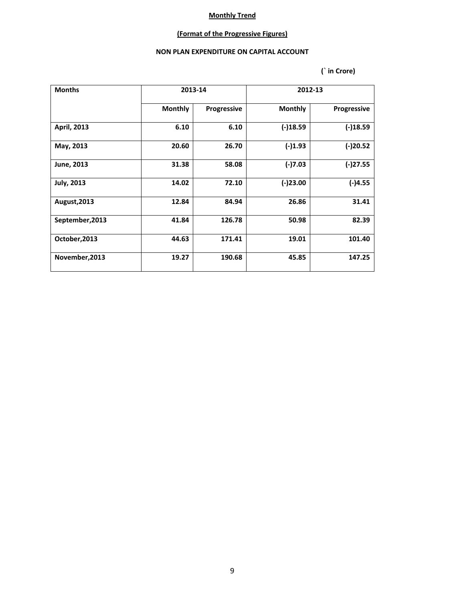# **(Format of the Progressive Figures)**

#### **NON PLAN EXPENDITURE ON CAPITAL ACCOUNT**

| <b>Months</b>      | 2013-14        |             |                | 2012-13            |
|--------------------|----------------|-------------|----------------|--------------------|
|                    | <b>Monthly</b> | Progressive | <b>Monthly</b> | <b>Progressive</b> |
| <b>April, 2013</b> | 6.10           | 6.10        | $(-)18.59$     | $(-)18.59$         |
| May, 2013          | 20.60          | 26.70       | $(-)1.93$      | $(-)20.52$         |
| June, 2013         | 31.38          | 58.08       | $(-)7.03$      | $(-)27.55$         |
| <b>July, 2013</b>  | 14.02          | 72.10       | $(-)23.00$     | $(-)4.55$          |
| August, 2013       | 12.84          | 84.94       | 26.86          | 31.41              |
| September, 2013    | 41.84          | 126.78      | 50.98          | 82.39              |
| October, 2013      | 44.63          | 171.41      | 19.01          | 101.40             |
| November, 2013     | 19.27          | 190.68      | 45.85          | 147.25             |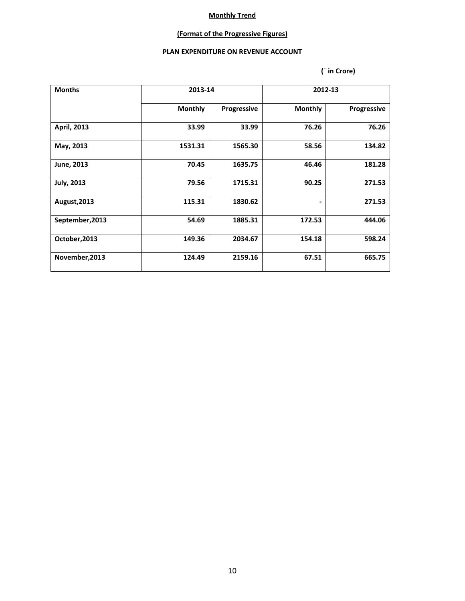## **(Format of the Progressive Figures)**

#### **PLAN EXPENDITURE ON REVENUE ACCOUNT**

| <b>Months</b>      |                | 2013-14     |                | 2012-13            |
|--------------------|----------------|-------------|----------------|--------------------|
|                    | <b>Monthly</b> | Progressive | <b>Monthly</b> | <b>Progressive</b> |
| <b>April, 2013</b> | 33.99          | 33.99       | 76.26          | 76.26              |
| May, 2013          | 1531.31        | 1565.30     | 58.56          | 134.82             |
| June, 2013         | 70.45          | 1635.75     | 46.46          | 181.28             |
| <b>July, 2013</b>  | 79.56          | 1715.31     | 90.25          | 271.53             |
| August, 2013       | 115.31         | 1830.62     |                | 271.53             |
| September, 2013    | 54.69          | 1885.31     | 172.53         | 444.06             |
| October, 2013      | 149.36         | 2034.67     | 154.18         | 598.24             |
| November, 2013     | 124.49         | 2159.16     | 67.51          | 665.75             |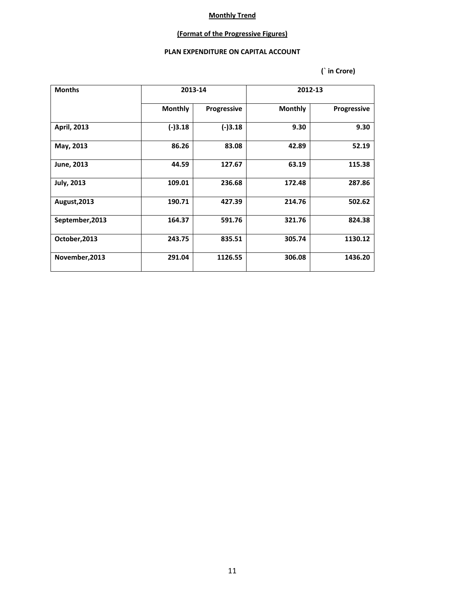### **(Format of the Progressive Figures)**

#### **PLAN EXPENDITURE ON CAPITAL ACCOUNT**

| <b>Months</b>      |                | 2013-14     |                | 2012-13            |
|--------------------|----------------|-------------|----------------|--------------------|
|                    | <b>Monthly</b> | Progressive | <b>Monthly</b> | <b>Progressive</b> |
| <b>April, 2013</b> | $(-)3.18$      | $(-)3.18$   | 9.30           | 9.30               |
| May, 2013          | 86.26          | 83.08       | 42.89          | 52.19              |
| June, 2013         | 44.59          | 127.67      | 63.19          | 115.38             |
| <b>July, 2013</b>  | 109.01         | 236.68      | 172.48         | 287.86             |
| August, 2013       | 190.71         | 427.39      | 214.76         | 502.62             |
| September, 2013    | 164.37         | 591.76      | 321.76         | 824.38             |
| October, 2013      | 243.75         | 835.51      | 305.74         | 1130.12            |
| November, 2013     | 291.04         | 1126.55     | 306.08         | 1436.20            |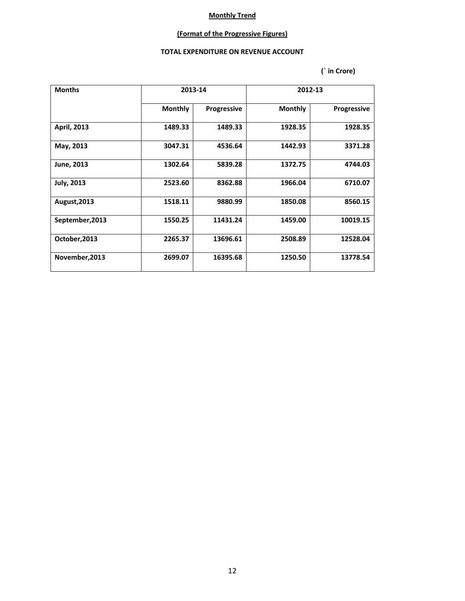## **(Format of the Progressive Figures)**

#### **TOTAL EXPENDITURE ON REVENUE ACCOUNT**

| <b>Months</b>      | 2013-14        |                    |                | 2012-13            |
|--------------------|----------------|--------------------|----------------|--------------------|
|                    | <b>Monthly</b> | <b>Progressive</b> | <b>Monthly</b> | <b>Progressive</b> |
| <b>April, 2013</b> | 1489.33        | 1489.33            | 1928.35        | 1928.35            |
| May, 2013          | 3047.31        | 4536.64            | 1442.93        | 3371.28            |
| June, 2013         | 1302.64        | 5839.28            | 1372.75        | 4744.03            |
| <b>July, 2013</b>  | 2523.60        | 8362.88            | 1966.04        | 6710.07            |
| August, 2013       | 1518.11        | 9880.99            | 1850.08        | 8560.15            |
| September, 2013    | 1550.25        | 11431.24           | 1459.00        | 10019.15           |
| October, 2013      | 2265.37        | 13696.61           | 2508.89        | 12528.04           |
| November, 2013     | 2699.07        | 16395.68           | 1250.50        | 13778.54           |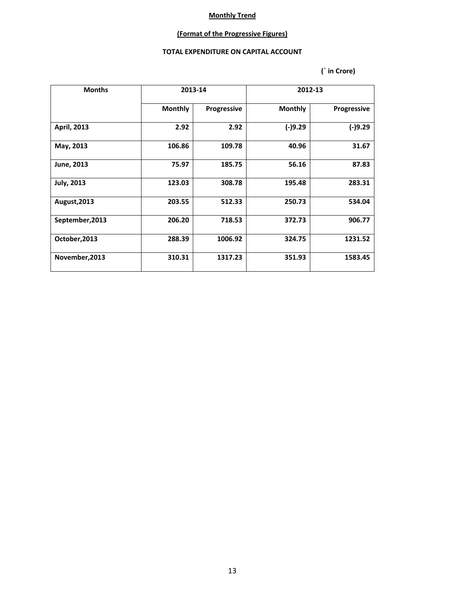## **(Format of the Progressive Figures)**

#### **TOTAL EXPENDITURE ON CAPITAL ACCOUNT**

| <b>Months</b>      | 2013-14        |                    | 2012-13        |                    |  |
|--------------------|----------------|--------------------|----------------|--------------------|--|
|                    | <b>Monthly</b> | <b>Progressive</b> | <b>Monthly</b> | <b>Progressive</b> |  |
| <b>April, 2013</b> | 2.92           | 2.92               | $(-)9.29$      | $(-)9.29$          |  |
| May, 2013          | 106.86         | 109.78             | 40.96          | 31.67              |  |
| June, 2013         | 75.97          | 185.75             | 56.16          | 87.83              |  |
| <b>July, 2013</b>  | 123.03         | 308.78             | 195.48         | 283.31             |  |
| August, 2013       | 203.55         | 512.33             | 250.73         | 534.04             |  |
| September, 2013    | 206.20         | 718.53             | 372.73         | 906.77             |  |
| October, 2013      | 288.39         | 1006.92            | 324.75         | 1231.52            |  |
| November, 2013     | 310.31         | 1317.23            | 351.93         | 1583.45            |  |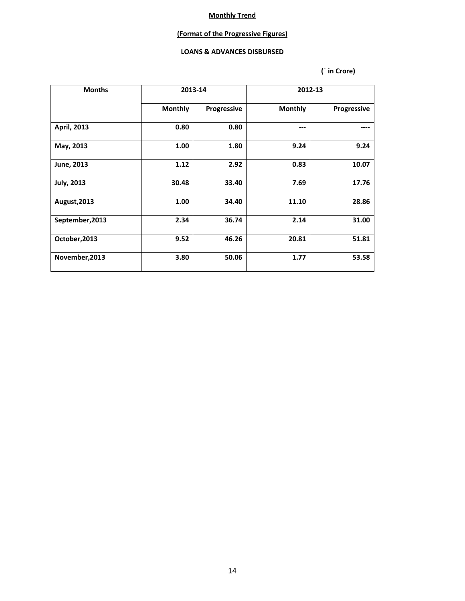### **(Format of the Progressive Figures)**

#### **LOANS & ADVANCES DISBURSED**

| <b>Months</b>      | 2013-14        |             | 2012-13        |                    |  |
|--------------------|----------------|-------------|----------------|--------------------|--|
|                    | <b>Monthly</b> | Progressive | <b>Monthly</b> | <b>Progressive</b> |  |
| <b>April, 2013</b> | 0.80           | 0.80        | ---            |                    |  |
| May, 2013          | 1.00           | 1.80        | 9.24           | 9.24               |  |
| June, 2013         | 1.12           | 2.92        | 0.83           | 10.07              |  |
| <b>July, 2013</b>  | 30.48          | 33.40       | 7.69           | 17.76              |  |
| August, 2013       | 1.00           | 34.40       | 11.10          | 28.86              |  |
| September, 2013    | 2.34           | 36.74       | 2.14           | 31.00              |  |
| October, 2013      | 9.52           | 46.26       | 20.81          | 51.81              |  |
| November, 2013     | 3.80           | 50.06       | 1.77           | 53.58              |  |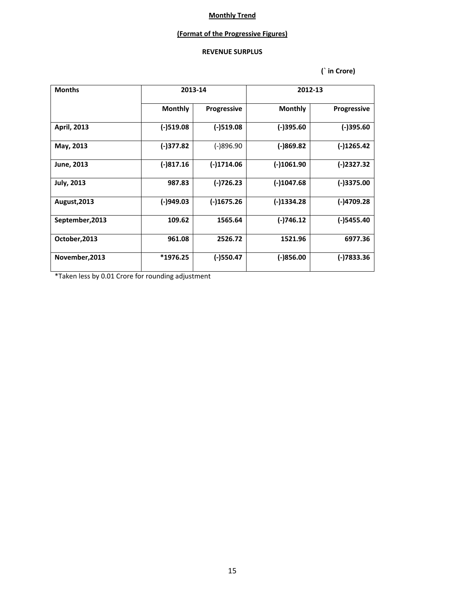### **(Format of the Progressive Figures)**

## **REVENUE SURPLUS**

 **(` in Crore)**

| <b>Months</b>      |                | 2013-14            | 2012-13        |                    |  |
|--------------------|----------------|--------------------|----------------|--------------------|--|
|                    | <b>Monthly</b> | <b>Progressive</b> | <b>Monthly</b> | <b>Progressive</b> |  |
| <b>April, 2013</b> | $(-)$ 519.08   | $(-)$ 519.08       | $(-)395.60$    | $(-)395.60$        |  |
| May, 2013          | (-)377.82      | $(-)896.90$        | (-)869.82      | $(-)1265.42$       |  |
| June, 2013         | $(-)817.16$    | $(-)1714.06$       | $(-)1061.90$   | $(-)2327.32$       |  |
| <b>July, 2013</b>  | 987.83         | (-)726.23          | $(-)1047.68$   | (-)3375.00         |  |
| August, 2013       | (-)949.03      | $(-)1675.26$       | (-)1334.28     | (-)4709.28         |  |
| September, 2013    | 109.62         | 1565.64            | (-)746.12      | (-)5455.40         |  |
| October, 2013      | 961.08         | 2526.72            | 1521.96        |                    |  |
| November, 2013     | $*1976.25$     | (-)550.47          | $(-)856.00$    | (-)7833.36         |  |

\*Taken less by 0.01 Crore for rounding adjustment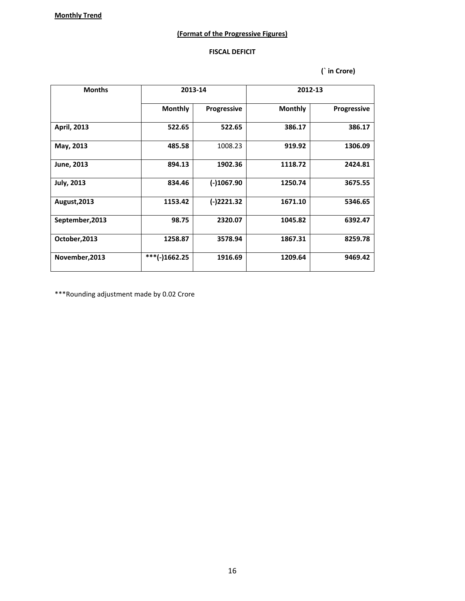### **(Format of the Progressive Figures)**

#### **FISCAL DEFICIT**

 **(` in Crore)**

| <b>Months</b>     | 2013-14         |                    | 2012-13        |                    |  |
|-------------------|-----------------|--------------------|----------------|--------------------|--|
|                   | <b>Monthly</b>  | <b>Progressive</b> | <b>Monthly</b> | <b>Progressive</b> |  |
| April, 2013       | 522.65          | 522.65             | 386.17         | 386.17             |  |
| May, 2013         | 485.58          | 1008.23            | 919.92         | 1306.09            |  |
| June, 2013        | 894.13          | 1902.36            | 1118.72        | 2424.81            |  |
| <b>July, 2013</b> | 834.46          | $(-)1067.90$       | 1250.74        | 3675.55            |  |
| August, 2013      | 1153.42         | $(-)2221.32$       | 1671.10        | 5346.65            |  |
| September, 2013   | 98.75           | 2320.07            | 1045.82        | 6392.47            |  |
| October, 2013     | 1258.87         | 3578.94            | 1867.31        | 8259.78            |  |
| November, 2013    | $***(-)1662.25$ | 1916.69            | 1209.64        | 9469.42            |  |

\*\*\*Rounding adjustment made by 0.02 Crore